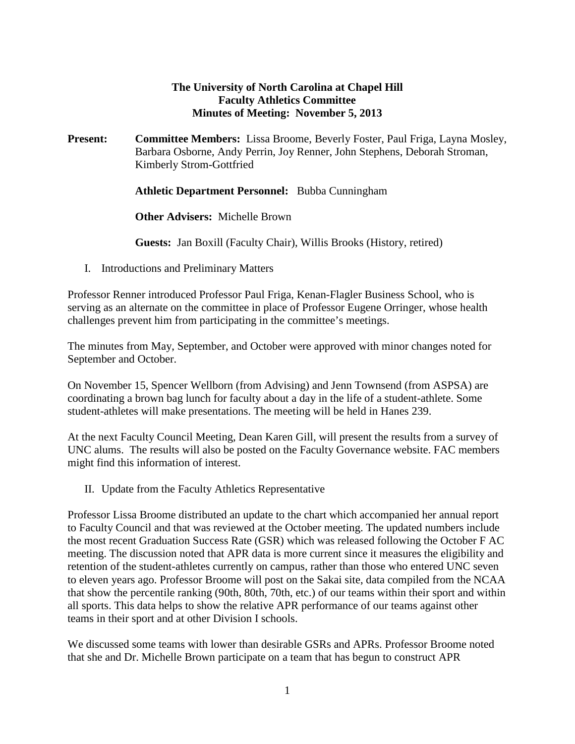## **The University of North Carolina at Chapel Hill Faculty Athletics Committee Minutes of Meeting: November 5, 2013**

**Present: Committee Members:** Lissa Broome, Beverly Foster, Paul Friga, Layna Mosley, Barbara Osborne, Andy Perrin, Joy Renner, John Stephens, Deborah Stroman, Kimberly Strom-Gottfried

**Athletic Department Personnel:** Bubba Cunningham

**Other Advisers:** Michelle Brown

**Guests:** Jan Boxill (Faculty Chair), Willis Brooks (History, retired)

I. Introductions and Preliminary Matters

Professor Renner introduced Professor Paul Friga, Kenan-Flagler Business School, who is serving as an alternate on the committee in place of Professor Eugene Orringer, whose health challenges prevent him from participating in the committee's meetings.

The minutes from May, September, and October were approved with minor changes noted for September and October.

On November 15, Spencer Wellborn (from Advising) and Jenn Townsend (from ASPSA) are coordinating a brown bag lunch for faculty about a day in the life of a student-athlete. Some student-athletes will make presentations. The meeting will be held in Hanes 239.

At the next Faculty Council Meeting, Dean Karen Gill, will present the results from a survey of UNC alums. The results will also be posted on the Faculty Governance website. FAC members might find this information of interest.

II. Update from the Faculty Athletics Representative

Professor Lissa Broome distributed an update to the chart which accompanied her annual report to Faculty Council and that was reviewed at the October meeting. The updated numbers include the most recent Graduation Success Rate (GSR) which was released following the October F AC meeting. The discussion noted that APR data is more current since it measures the eligibility and retention of the student-athletes currently on campus, rather than those who entered UNC seven to eleven years ago. Professor Broome will post on the Sakai site, data compiled from the NCAA that show the percentile ranking (90th, 80th, 70th, etc.) of our teams within their sport and within all sports. This data helps to show the relative APR performance of our teams against other teams in their sport and at other Division I schools.

We discussed some teams with lower than desirable GSRs and APRs. Professor Broome noted that she and Dr. Michelle Brown participate on a team that has begun to construct APR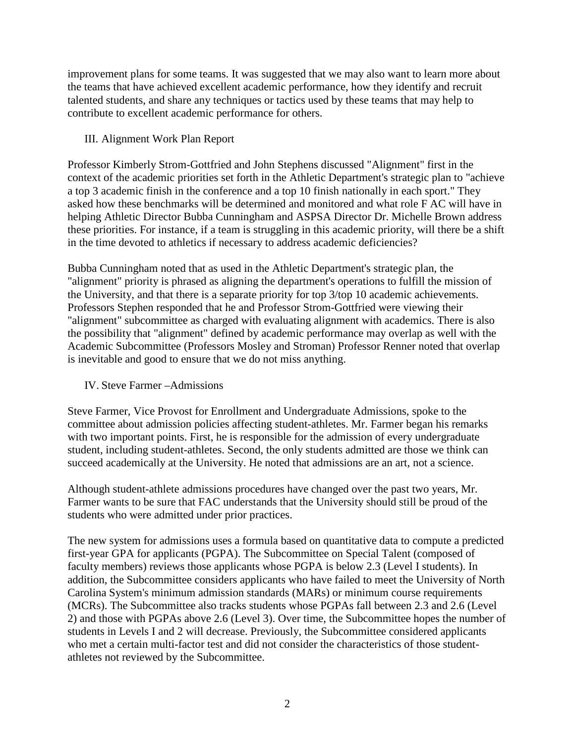improvement plans for some teams. It was suggested that we may also want to learn more about the teams that have achieved excellent academic performance, how they identify and recruit talented students, and share any techniques or tactics used by these teams that may help to contribute to excellent academic performance for others.

## III. Alignment Work Plan Report

Professor Kimberly Strom-Gottfried and John Stephens discussed "Alignment" first in the context of the academic priorities set forth in the Athletic Department's strategic plan to "achieve a top 3 academic finish in the conference and a top 10 finish nationally in each sport." They asked how these benchmarks will be determined and monitored and what role F AC will have in helping Athletic Director Bubba Cunningham and ASPSA Director Dr. Michelle Brown address these priorities. For instance, if a team is struggling in this academic priority, will there be a shift in the time devoted to athletics if necessary to address academic deficiencies?

Bubba Cunningham noted that as used in the Athletic Department's strategic plan, the "alignment" priority is phrased as aligning the department's operations to fulfill the mission of the University, and that there is a separate priority for top 3/top 10 academic achievements. Professors Stephen responded that he and Professor Strom-Gottfried were viewing their "alignment" subcommittee as charged with evaluating alignment with academics. There is also the possibility that "alignment" defined by academic performance may overlap as well with the Academic Subcommittee (Professors Mosley and Stroman) Professor Renner noted that overlap is inevitable and good to ensure that we do not miss anything.

#### IV. Steve Farmer –Admissions

Steve Farmer, Vice Provost for Enrollment and Undergraduate Admissions, spoke to the committee about admission policies affecting student-athletes. Mr. Farmer began his remarks with two important points. First, he is responsible for the admission of every undergraduate student, including student-athletes. Second, the only students admitted are those we think can succeed academically at the University. He noted that admissions are an art, not a science.

Although student-athlete admissions procedures have changed over the past two years, Mr. Farmer wants to be sure that FAC understands that the University should still be proud of the students who were admitted under prior practices.

The new system for admissions uses a formula based on quantitative data to compute a predicted first-year GPA for applicants (PGPA). The Subcommittee on Special Talent (composed of faculty members) reviews those applicants whose PGPA is below 2.3 (Level I students). In addition, the Subcommittee considers applicants who have failed to meet the University of North Carolina System's minimum admission standards (MARs) or minimum course requirements (MCRs). The Subcommittee also tracks students whose PGPAs fall between 2.3 and 2.6 (Level 2) and those with PGPAs above 2.6 (Level 3). Over time, the Subcommittee hopes the number of students in Levels I and 2 will decrease. Previously, the Subcommittee considered applicants who met a certain multi-factor test and did not consider the characteristics of those studentathletes not reviewed by the Subcommittee.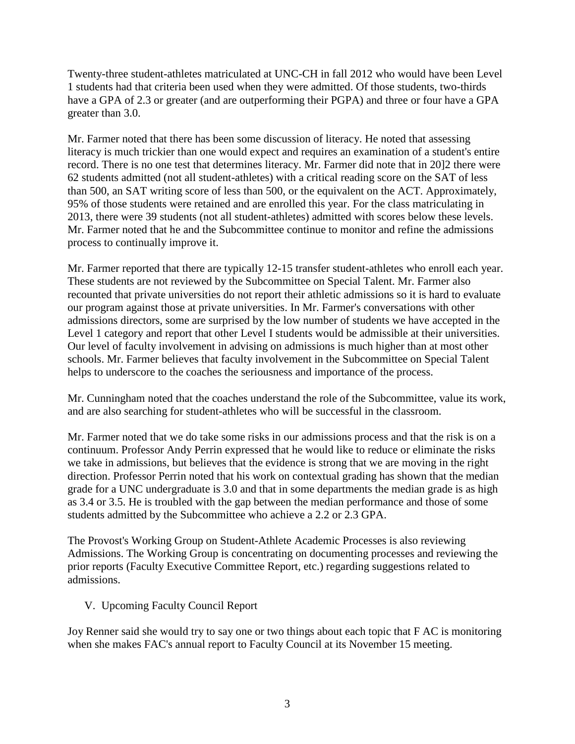Twenty-three student-athletes matriculated at UNC-CH in fall 2012 who would have been Level 1 students had that criteria been used when they were admitted. Of those students, two-thirds have a GPA of 2.3 or greater (and are outperforming their PGPA) and three or four have a GPA greater than 3.0.

Mr. Farmer noted that there has been some discussion of literacy. He noted that assessing literacy is much trickier than one would expect and requires an examination of a student's entire record. There is no one test that determines literacy. Mr. Farmer did note that in 20]2 there were 62 students admitted (not all student-athletes) with a critical reading score on the SAT of less than 500, an SAT writing score of less than 500, or the equivalent on the ACT. Approximately, 95% of those students were retained and are enrolled this year. For the class matriculating in 2013, there were 39 students (not all student-athletes) admitted with scores below these levels. Mr. Farmer noted that he and the Subcommittee continue to monitor and refine the admissions process to continually improve it.

Mr. Farmer reported that there are typically 12-15 transfer student-athletes who enroll each year. These students are not reviewed by the Subcommittee on Special Talent. Mr. Farmer also recounted that private universities do not report their athletic admissions so it is hard to evaluate our program against those at private universities. In Mr. Farmer's conversations with other admissions directors, some are surprised by the low number of students we have accepted in the Level 1 category and report that other Level I students would be admissible at their universities. Our level of faculty involvement in advising on admissions is much higher than at most other schools. Mr. Farmer believes that faculty involvement in the Subcommittee on Special Talent helps to underscore to the coaches the seriousness and importance of the process.

Mr. Cunningham noted that the coaches understand the role of the Subcommittee, value its work, and are also searching for student-athletes who will be successful in the classroom.

Mr. Farmer noted that we do take some risks in our admissions process and that the risk is on a continuum. Professor Andy Perrin expressed that he would like to reduce or eliminate the risks we take in admissions, but believes that the evidence is strong that we are moving in the right direction. Professor Perrin noted that his work on contextual grading has shown that the median grade for a UNC undergraduate is 3.0 and that in some departments the median grade is as high as 3.4 or 3.5. He is troubled with the gap between the median performance and those of some students admitted by the Subcommittee who achieve a 2.2 or 2.3 GPA.

The Provost's Working Group on Student-Athlete Academic Processes is also reviewing Admissions. The Working Group is concentrating on documenting processes and reviewing the prior reports (Faculty Executive Committee Report, etc.) regarding suggestions related to admissions.

V. Upcoming Faculty Council Report

Joy Renner said she would try to say one or two things about each topic that F AC is monitoring when she makes FAC's annual report to Faculty Council at its November 15 meeting.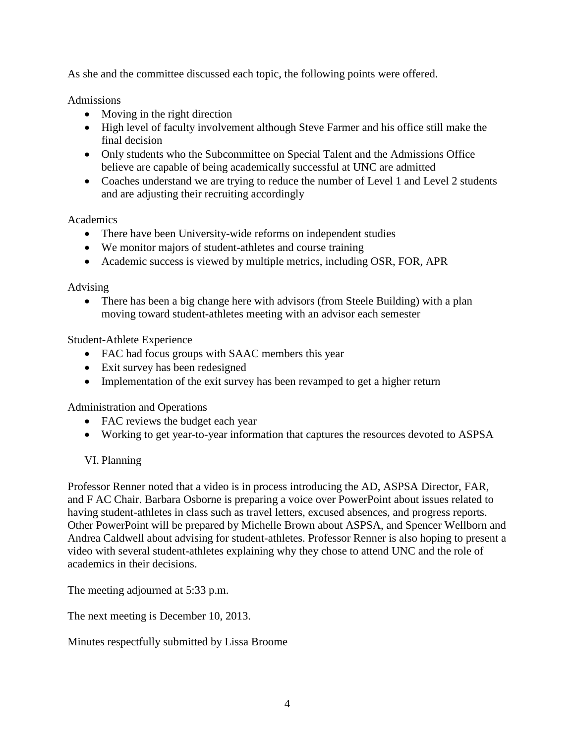As she and the committee discussed each topic, the following points were offered.

Admissions

- Moving in the right direction
- High level of faculty involvement although Steve Farmer and his office still make the final decision
- Only students who the Subcommittee on Special Talent and the Admissions Office believe are capable of being academically successful at UNC are admitted
- Coaches understand we are trying to reduce the number of Level 1 and Level 2 students and are adjusting their recruiting accordingly

# **Academics**

- There have been University-wide reforms on independent studies
- We monitor majors of student-athletes and course training
- Academic success is viewed by multiple metrics, including OSR, FOR, APR

## Advising

• There has been a big change here with advisors (from Steele Building) with a plan moving toward student-athletes meeting with an advisor each semester

Student-Athlete Experience

- FAC had focus groups with SAAC members this year
- Exit survey has been redesigned
- Implementation of the exit survey has been revamped to get a higher return

Administration and Operations

- FAC reviews the budget each year
- Working to get year-to-year information that captures the resources devoted to ASPSA

# VI. Planning

Professor Renner noted that a video is in process introducing the AD, ASPSA Director, FAR, and F AC Chair. Barbara Osborne is preparing a voice over PowerPoint about issues related to having student-athletes in class such as travel letters, excused absences, and progress reports. Other PowerPoint will be prepared by Michelle Brown about ASPSA, and Spencer Wellborn and Andrea Caldwell about advising for student-athletes. Professor Renner is also hoping to present a video with several student-athletes explaining why they chose to attend UNC and the role of academics in their decisions.

The meeting adjourned at 5:33 p.m.

The next meeting is December 10, 2013.

Minutes respectfully submitted by Lissa Broome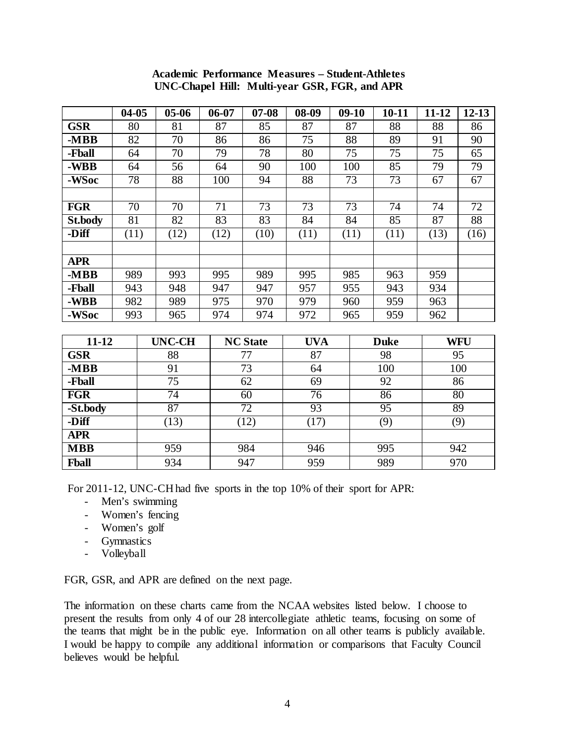|              | $04 - 05$ |                 | $05-06$ | $06 - 07$ | $07 - 08$       | 08-09 | $09-10$         | $10 - 11$       | $11 - 12$  | $12 - 13$       |  |
|--------------|-----------|-----------------|---------|-----------|-----------------|-------|-----------------|-----------------|------------|-----------------|--|
| <b>GSR</b>   | 80        |                 | 81      | 87        | 85              | 87    | 87              | 88              | 88         | 86              |  |
| 82<br>$-MBB$ |           |                 | 70      | 86        | 86              | 75    | 88              | 89              | 91         | 90              |  |
| -Fball<br>64 |           |                 | 70      | 79        | 78              | 80    | 75              | 75              | 75         | 65              |  |
| -WBB<br>64   |           |                 | 56      | 64        | 90              | 100   | 100             | 85              | 79         | 79              |  |
| -WSoc        |           | $\overline{78}$ | 88      | 100       | 94              | 88    | $\overline{73}$ | $\overline{73}$ | 67         | 67              |  |
|              |           |                 |         |           |                 |       |                 |                 |            |                 |  |
| <b>FGR</b>   | 70        |                 | 70      | 71        | 73              | 73    | 73              | 74              | 74         | 72              |  |
| St.body      | 81        |                 | 82      | 83        | 83              | 84    | 84              | 85              | 87         | $\overline{88}$ |  |
| -Diff        | (11)      |                 | (12)    | (12)      | (10)            | (11)  | (11)            | (11)            | (13)       | (16)            |  |
|              |           |                 |         |           |                 |       |                 |                 |            |                 |  |
| <b>APR</b>   |           |                 |         |           |                 |       |                 |                 |            |                 |  |
| $-MBB$       | 989       |                 | 993     | 995       | 989             | 995   | 985             | 963             | 959        |                 |  |
| -Fball       | 943       |                 | 948     | 947       | 947             | 957   | 955             | 943             | 934        |                 |  |
| -WBB         | 982       |                 | 989     | 975       | 970             | 979   | 960             | 959             | 963        |                 |  |
| -WSoc        | 993       |                 | 965     | 974       | 974             | 972   | 965             | 959             | 962        |                 |  |
|              |           |                 |         |           |                 |       |                 |                 |            |                 |  |
| $11 - 12$    |           | <b>UNC-CH</b>   |         |           | <b>NC State</b> |       | <b>UVA</b>      | <b>Duke</b>     | <b>WFU</b> |                 |  |
| <b>GSR</b>   |           | 88              |         |           | 77              |       |                 | 98<br>100       | 95         |                 |  |
| $-MBB$       |           | 91              |         |           | 73              |       | 64              |                 | 100        |                 |  |
| -Fball       |           | 75              |         |           | 62              |       | 69              |                 | 86         |                 |  |
| <b>FGR</b>   |           | 74              |         |           | 60              |       | 76              |                 | 80         |                 |  |
| -St.body     |           | $\overline{87}$ |         |           | 72              |       | 93              |                 | 89         |                 |  |
| -Diff        |           | (13)            |         |           | (12)            |       | (17)            |                 | (9)        |                 |  |
| <b>APR</b>   |           |                 |         |           |                 | 946   |                 |                 |            |                 |  |
| <b>MBB</b>   |           | 959             |         |           | 984             |       |                 | 995             |            | 942             |  |
| <b>Fball</b> |           | 934             |         |           | 947             |       |                 | 989             |            | 970             |  |

#### **Academic Performance Measures – Student-Athletes UNC-Chapel Hill: Multi-year GSR, FGR, and APR**

For 2011-12, UNC-CH had five sports in the top 10% of their sport for APR:

- Men's swimming
- Women's fencing
- Women's golf
- Gymnastics
- Volleyball

FGR, GSR, and APR are defined on the next page.

The information on these charts came from the NCAA websites listed below. I choose to present the results from only 4 of our 28 intercollegiate athletic teams, focusing on some of the teams that might be in the public eye. Information on all other teams is publicly available. I would be happy to compile any additional information or comparisons that Faculty Council believes would be helpful.